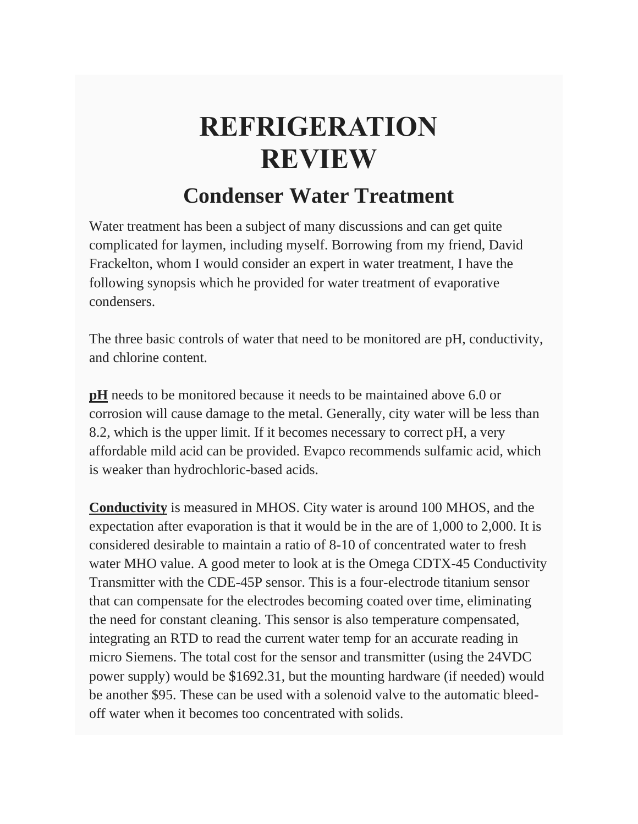## **REFRIGERATION REVIEW**

## **Condenser Water Treatment**

Water treatment has been a subject of many discussions and can get quite complicated for laymen, including myself. Borrowing from my friend, David Frackelton, whom I would consider an expert in water treatment, I have the following synopsis which he provided for water treatment of evaporative condensers.

The three basic controls of water that need to be monitored are pH, conductivity, and chlorine content.

**pH** needs to be monitored because it needs to be maintained above 6.0 or corrosion will cause damage to the metal. Generally, city water will be less than 8.2, which is the upper limit. If it becomes necessary to correct pH, a very affordable mild acid can be provided. Evapco recommends sulfamic acid, which is weaker than hydrochloric-based acids.

**Conductivity** is measured in MHOS. City water is around 100 MHOS, and the expectation after evaporation is that it would be in the are of 1,000 to 2,000. It is considered desirable to maintain a ratio of 8-10 of concentrated water to fresh water MHO value. A good meter to look at is the Omega CDTX-45 Conductivity Transmitter with the CDE-45P sensor. This is a four-electrode titanium sensor that can compensate for the electrodes becoming coated over time, eliminating the need for constant cleaning. This sensor is also temperature compensated, integrating an RTD to read the current water temp for an accurate reading in micro Siemens. The total cost for the sensor and transmitter (using the 24VDC power supply) would be \$1692.31, but the mounting hardware (if needed) would be another \$95. These can be used with a solenoid valve to the automatic bleedoff water when it becomes too concentrated with solids.